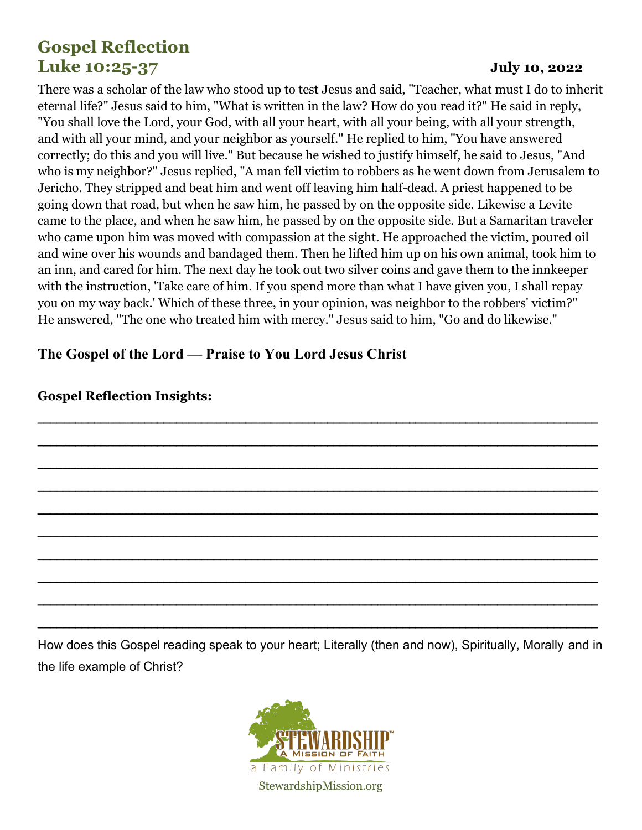# **Gospel Reflection Luke 10:25-37 July 10, 2022**

There was a scholar of the law who stood up to test Jesus and said, "Teacher, what must I do to inherit eternal life?" Jesus said to him, "What is written in the law? How do you read it?" He said in reply, "You shall love the Lord, your God, with all your heart, with all your being, with all your strength, and with all your mind, and your neighbor as yourself." He replied to him, "You have answered correctly; do this and you will live." But because he wished to justify himself, he said to Jesus, "And who is my neighbor?" Jesus replied, "A man fell victim to robbers as he went down from Jerusalem to Jericho. They stripped and beat him and went off leaving him half-dead. A priest happened to be going down that road, but when he saw him, he passed by on the opposite side. Likewise a Levite came to the place, and when he saw him, he passed by on the opposite side. But a Samaritan traveler who came upon him was moved with compassion at the sight. He approached the victim, poured oil and wine over his wounds and bandaged them. Then he lifted him up on his own animal, took him to an inn, and cared for him. The next day he took out two silver coins and gave them to the innkeeper with the instruction, 'Take care of him. If you spend more than what I have given you, I shall repay you on my way back.' Which of these three, in your opinion, was neighbor to the robbers' victim?" He answered, "The one who treated him with mercy." Jesus said to him, "Go and do likewise."

\_\_\_\_\_\_\_\_\_\_\_\_\_\_\_\_\_\_\_\_\_\_\_\_\_\_\_\_\_\_\_\_\_\_\_\_\_\_\_\_\_\_\_\_\_\_\_\_\_\_\_\_\_\_\_\_\_\_\_\_\_\_\_\_\_\_\_\_\_\_\_\_\_\_\_\_\_\_\_\_\_\_\_\_\_\_\_\_\_

\_\_\_\_\_\_\_\_\_\_\_\_\_\_\_\_\_\_\_\_\_\_\_\_\_\_\_\_\_\_\_\_\_\_\_\_\_\_\_\_\_\_\_\_\_\_\_\_\_\_\_\_\_\_\_\_\_\_\_\_\_\_\_\_\_\_\_\_\_\_\_\_\_\_\_\_\_\_\_\_\_\_\_\_\_\_\_\_\_

\_\_\_\_\_\_\_\_\_\_\_\_\_\_\_\_\_\_\_\_\_\_\_\_\_\_\_\_\_\_\_\_\_\_\_\_\_\_\_\_\_\_\_\_\_\_\_\_\_\_\_\_\_\_\_\_\_\_\_\_\_\_\_\_\_\_\_\_\_\_\_\_\_\_\_\_\_\_\_\_\_\_\_\_\_\_\_\_\_

\_\_\_\_\_\_\_\_\_\_\_\_\_\_\_\_\_\_\_\_\_\_\_\_\_\_\_\_\_\_\_\_\_\_\_\_\_\_\_\_\_\_\_\_\_\_\_\_\_\_\_\_\_\_\_\_\_\_\_\_\_\_\_\_\_\_\_\_\_\_\_\_\_\_\_\_\_\_\_\_\_\_\_\_\_\_\_\_\_

\_\_\_\_\_\_\_\_\_\_\_\_\_\_\_\_\_\_\_\_\_\_\_\_\_\_\_\_\_\_\_\_\_\_\_\_\_\_\_\_\_\_\_\_\_\_\_\_\_\_\_\_\_\_\_\_\_\_\_\_\_\_\_\_\_\_\_\_\_\_\_\_\_\_\_\_\_\_\_\_\_\_\_\_\_\_\_\_\_

\_\_\_\_\_\_\_\_\_\_\_\_\_\_\_\_\_\_\_\_\_\_\_\_\_\_\_\_\_\_\_\_\_\_\_\_\_\_\_\_\_\_\_\_\_\_\_\_\_\_\_\_\_\_\_\_\_\_\_\_\_\_\_\_\_\_\_\_\_\_\_\_\_\_\_\_\_\_\_\_\_\_\_\_\_\_\_\_\_

\_\_\_\_\_\_\_\_\_\_\_\_\_\_\_\_\_\_\_\_\_\_\_\_\_\_\_\_\_\_\_\_\_\_\_\_\_\_\_\_\_\_\_\_\_\_\_\_\_\_\_\_\_\_\_\_\_\_\_\_\_\_\_\_\_\_\_\_\_\_\_\_\_\_\_\_\_\_\_\_\_\_\_\_\_\_\_\_\_

\_\_\_\_\_\_\_\_\_\_\_\_\_\_\_\_\_\_\_\_\_\_\_\_\_\_\_\_\_\_\_\_\_\_\_\_\_\_\_\_\_\_\_\_\_\_\_\_\_\_\_\_\_\_\_\_\_\_\_\_\_\_\_\_\_\_\_\_\_\_\_\_\_\_\_\_\_\_\_\_\_\_\_\_\_\_\_\_\_

\_\_\_\_\_\_\_\_\_\_\_\_\_\_\_\_\_\_\_\_\_\_\_\_\_\_\_\_\_\_\_\_\_\_\_\_\_\_\_\_\_\_\_\_\_\_\_\_\_\_\_\_\_\_\_\_\_\_\_\_\_\_\_\_\_\_\_\_\_\_\_\_\_\_\_\_\_\_\_\_\_\_\_\_\_\_\_\_\_

\_\_\_\_\_\_\_\_\_\_\_\_\_\_\_\_\_\_\_\_\_\_\_\_\_\_\_\_\_\_\_\_\_\_\_\_\_\_\_\_\_\_\_\_\_\_\_\_\_\_\_\_\_\_\_\_\_\_\_\_\_\_\_\_\_\_\_\_\_\_\_\_\_\_\_\_\_\_\_\_\_\_\_\_\_\_\_\_\_

## **The Gospel of the Lord — Praise to You Lord Jesus Christ**

## **Gospel Reflection Insights:**

How does this Gospel reading speak to your heart; Literally (then and now), Spiritually, Morally and in the life example of Christ?